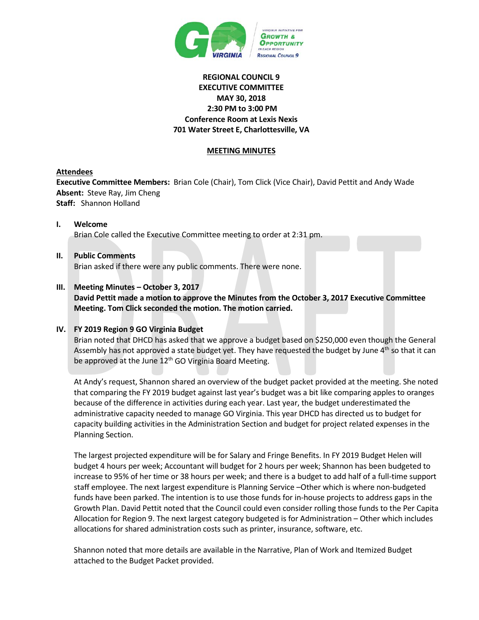

# **REGIONAL COUNCIL 9 EXECUTIVE COMMITTEE MAY 30, 2018 2:30 PM to 3:00 PM Conference Room at Lexis Nexis 701 Water Street E, Charlottesville, VA**

## **MEETING MINUTES**

### **Attendees**

**Executive Committee Members:** Brian Cole (Chair), Tom Click (Vice Chair), David Pettit and Andy Wade **Absent:** Steve Ray, Jim Cheng **Staff:** Shannon Holland

**I. Welcome** Brian Cole called the Executive Committee meeting to order at 2:31 pm.

#### **II. Public Comments**

Brian asked if there were any public comments. There were none.

### **III. Meeting Minutes – October 3, 2017**

**David Pettit made a motion to approve the Minutes from the October 3, 2017 Executive Committee Meeting. Tom Click seconded the motion. The motion carried.**

#### **IV. FY 2019 Region 9 GO Virginia Budget**

Brian noted that DHCD has asked that we approve a budget based on \$250,000 even though the General Assembly has not approved a state budget yet. They have requested the budget by June  $4<sup>th</sup>$  so that it can be approved at the June 12<sup>th</sup> GO Virginia Board Meeting.

At Andy's request, Shannon shared an overview of the budget packet provided at the meeting. She noted that comparing the FY 2019 budget against last year's budget was a bit like comparing apples to oranges because of the difference in activities during each year. Last year, the budget underestimated the administrative capacity needed to manage GO Virginia. This year DHCD has directed us to budget for capacity building activities in the Administration Section and budget for project related expenses in the Planning Section.

The largest projected expenditure will be for Salary and Fringe Benefits. In FY 2019 Budget Helen will budget 4 hours per week; Accountant will budget for 2 hours per week; Shannon has been budgeted to increase to 95% of her time or 38 hours per week; and there is a budget to add half of a full-time support staff employee. The next largest expenditure is Planning Service –Other which is where non-budgeted funds have been parked. The intention is to use those funds for in-house projects to address gaps in the Growth Plan. David Pettit noted that the Council could even consider rolling those funds to the Per Capita Allocation for Region 9. The next largest category budgeted is for Administration – Other which includes allocations for shared administration costs such as printer, insurance, software, etc.

Shannon noted that more details are available in the Narrative, Plan of Work and Itemized Budget attached to the Budget Packet provided.